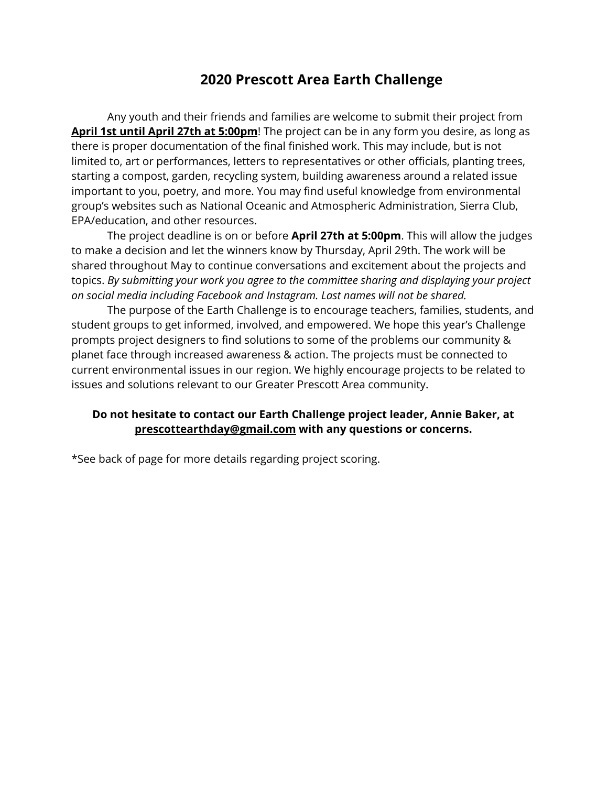## **2020 Prescott Area Earth Challenge**

Any youth and their friends and families are welcome to submit their project from **April 1st until April 27th at 5:00pm**! The project can be in any form you desire, as long as there is proper documentation of the final finished work. This may include, but is not limited to, art or performances, letters to representatives or other officials, planting trees, starting a compost, garden, recycling system, building awareness around a related issue important to you, poetry, and more. You may find useful knowledge from environmental group's websites such as National Oceanic and Atmospheric Administration, Sierra Club, EPA/education, and other resources.

The project deadline is on or before **April 27th at 5:00pm**. This will allow the judges to make a decision and let the winners know by Thursday, April 29th. The work will be shared throughout May to continue conversations and excitement about the projects and topics. *By submitting your work you agree to the committee sharing and displaying your project on social media including Facebook and Instagram. Last names will not be shared.*

The purpose of the Earth Challenge is to encourage teachers, families, students, and student groups to get informed, involved, and empowered. We hope this year's Challenge prompts project designers to find solutions to some of the problems our community & planet face through increased awareness & action. The projects must be connected to current environmental issues in our region. We highly encourage projects to be related to issues and solutions relevant to our Greater Prescott Area community.

## **Do not hesitate to contact our Earth Challenge project leader, Annie Baker, at prescottearthday@gmail.com with any questions or concerns.**

\*See back of page for more details regarding project scoring.